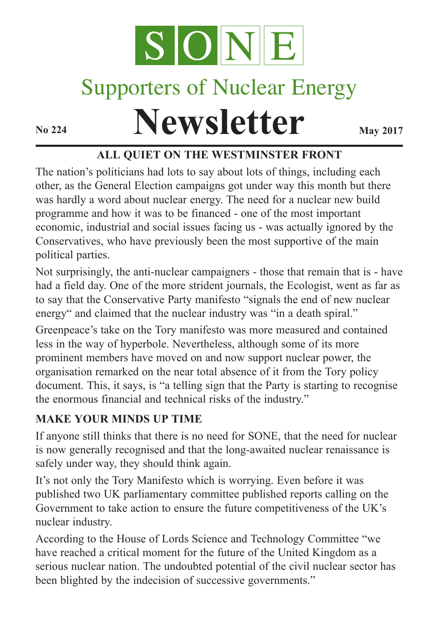

# Supporters of Nuclear Energy

**Newsletter May** 2017

## **ALL QUIET ON THE WESTMINSTER FRONT**

The nation's politicians had lots to say about lots of things, including each other, as the General Election campaigns got under way this month but there was hardly a word about nuclear energy. The need for a nuclear new build programme and how it was to be financed - one of the most important economic, industrial and social issues facing us - was actually ignored by the Conservatives, who have previously been the most supportive of the main political parties.

Not surprisingly, the anti-nuclear campaigners - those that remain that is - have had a field day. One of the more strident journals, the Ecologist, went as far as to say that the Conservative Party manifesto "signals the end of new nuclear energy" and claimed that the nuclear industry was "in a death spiral."

Greenpeace's take on the Tory manifesto was more measured and contained less in the way of hyperbole. Nevertheless, although some of its more prominent members have moved on and now support nuclear power, the organisation remarked on the near total absence of it from the Tory policy document. This, it says, is "a telling sign that the Party is starting to recognise the enormous financial and technical risks of the industry."

#### **MAKE YOUR MINDS UP TIME**

If anyone still thinks that there is no need for SONE, that the need for nuclear is now generally recognised and that the long-awaited nuclear renaissance is safely under way, they should think again.

It's not only the Tory Manifesto which is worrying. Even before it was published two UK parliamentary committee published reports calling on the Government to take action to ensure the future competitiveness of the UK's nuclear industry.

According to the House of Lords Science and Technology Committee "we have reached a critical moment for the future of the United Kingdom as a serious nuclear nation. The undoubted potential of the civil nuclear sector has been blighted by the indecision of successive governments."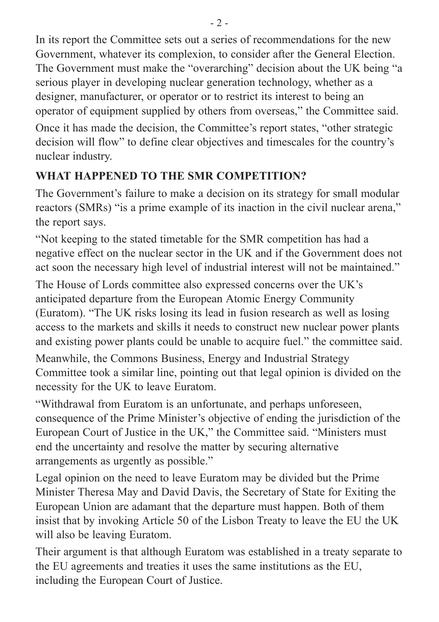In its report the Committee sets out a series of recommendations for the new Government, whatever its complexion, to consider after the General Election. The Government must make the "overarching" decision about the UK being "a serious player in developing nuclear generation technology, whether as a designer, manufacturer, or operator or to restrict its interest to being an operator of equipment supplied by others from overseas," the Committee said.

Once it has made the decision, the Committee's report states, "other strategic decision will flow" to define clear objectives and timescales for the country's nuclear industry.

# **WHAT HAPPENED TO THE SMR COMPETITION?**

The Government's failure to make a decision on its strategy for small modular reactors (SMRs) "is a prime example of its inaction in the civil nuclear arena," the report says.

"Not keeping to the stated timetable for the SMR competition has had a negative effect on the nuclear sector in the UK and if the Government does not act soon the necessary high level of industrial interest will not be maintained."

The House of Lords committee also expressed concerns over the UK's anticipated departure from the European Atomic Energy Community (Euratom). "The UK risks losing its lead in fusion research as well as losing access to the markets and skills it needs to construct new nuclear power plants and existing power plants could be unable to acquire fuel." the committee said. Meanwhile, the Commons Business, Energy and Industrial Strategy Committee took a similar line, pointing out that legal opinion is divided on the necessity for the UK to leave Euratom.

"Withdrawal from Euratom is an unfortunate, and perhaps unforeseen, consequence of the Prime Minister's objective of ending the jurisdiction of the European Court of Justice in the UK," the Committee said. "Ministers must end the uncertainty and resolve the matter by securing alternative arrangements as urgently as possible."

Legal opinion on the need to leave Euratom may be divided but the Prime Minister Theresa May and David Davis, the Secretary of State for Exiting the European Union are adamant that the departure must happen. Both of them insist that by invoking Article 50 of the Lisbon Treaty to leave the EU the UK will also be leaving Euratom.

Their argument is that although Euratom was established in a treaty separate to the EU agreements and treaties it uses the same institutions as the EU, including the European Court of Justice.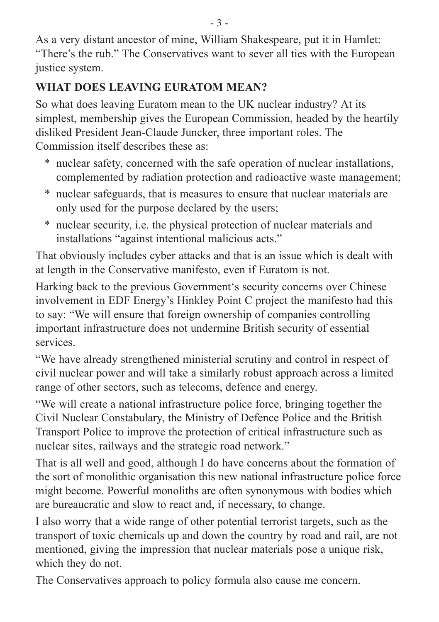As a very distant ancestor of mine, William Shakespeare, put it in Hamlet: "There's the rub." The Conservatives want to sever all ties with the European justice system.

# **WHAT DOES LEAVING EURATOM MEAN?**

So what does leaving Euratom mean to the UK nuclear industry? At its simplest, membership gives the European Commission, headed by the heartily disliked President Jean-Claude Juncker, three important roles. The Commission itself describes these as:

- \* nuclear safety, concerned with the safe operation of nuclear installations, complemented by radiation protection and radioactive waste management;
- \* nuclear safeguards, that is measures to ensure that nuclear materials are only used for the purpose declared by the users;
- \* nuclear security, i.e. the physical protection of nuclear materials and installations "against intentional malicious acts."

That obviously includes cyber attacks and that is an issue which is dealt with at length in the Conservative manifesto, even if Euratom is not.

Harking back to the previous Government's security concerns over Chinese involvement in EDF Energy's Hinkley Point C project the manifesto had this to say: "We will ensure that foreign ownership of companies controlling important infrastructure does not undermine British security of essential services.

"We have already strengthened ministerial scrutiny and control in respect of civil nuclear power and will take a similarly robust approach across a limited range of other sectors, such as telecoms, defence and energy.

"We will create a national infrastructure police force, bringing together the Civil Nuclear Constabulary, the Ministry of Defence Police and the British Transport Police to improve the protection of critical infrastructure such as nuclear sites, railways and the strategic road network."

That is all well and good, although I do have concerns about the formation of the sort of monolithic organisation this new national infrastructure police force might become. Powerful monoliths are often synonymous with bodies which are bureaucratic and slow to react and, if necessary, to change.

I also worry that a wide range of other potential terrorist targets, such as the transport of toxic chemicals up and down the country by road and rail, are not mentioned, giving the impression that nuclear materials pose a unique risk, which they do not.

The Conservatives approach to policy formula also cause me concern.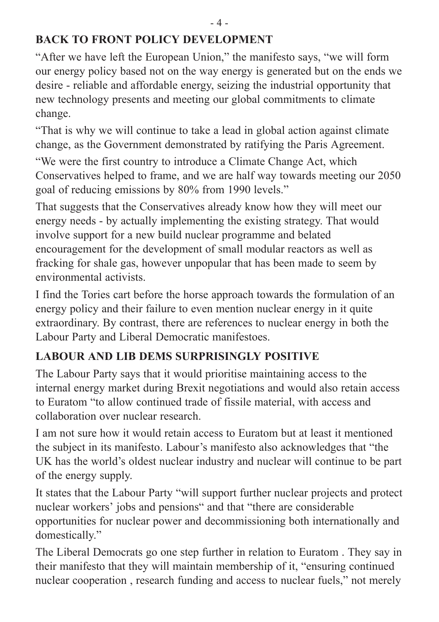#### **BACK TO FRONT POLICY DEVELOPMENT**

"After we have left the European Union," the manifesto says, "we will form our energy policy based not on the way energy is generated but on the ends we desire - reliable and affordable energy, seizing the industrial opportunity that new technology presents and meeting our global commitments to climate change.

"That is why we will continue to take a lead in global action against climate change, as the Government demonstrated by ratifying the Paris Agreement.

"We were the first country to introduce a Climate Change Act, which Conservatives helped to frame, and we are half way towards meeting our 2050 goal of reducing emissions by 80% from 1990 levels."

That suggests that the Conservatives already know how they will meet our energy needs - by actually implementing the existing strategy. That would involve support for a new build nuclear programme and belated encouragement for the development of small modular reactors as well as fracking for shale gas, however unpopular that has been made to seem by environmental activists.

I find the Tories cart before the horse approach towards the formulation of an energy policy and their failure to even mention nuclear energy in it quite extraordinary. By contrast, there are references to nuclear energy in both the Labour Party and Liberal Democratic manifestoes.

# **LABOUR AND LIB DEMS SURPRISINGLY POSITIVE**

The Labour Party says that it would prioritise maintaining access to the internal energy market during Brexit negotiations and would also retain access to Euratom "to allow continued trade of fissile material, with access and collaboration over nuclear research.

I am not sure how it would retain access to Euratom but at least it mentioned the subject in its manifesto. Labour's manifesto also acknowledges that "the UK has the world's oldest nuclear industry and nuclear will continue to be part of the energy supply.

It states that the Labour Party "will support further nuclear projects and protect nuclear workers' jobs and pensions" and that "there are considerable opportunities for nuclear power and decommissioning both internationally and domestically."

The Liberal Democrats go one step further in relation to Euratom . They say in their manifesto that they will maintain membership of it, "ensuring continued nuclear cooperation , research funding and access to nuclear fuels," not merely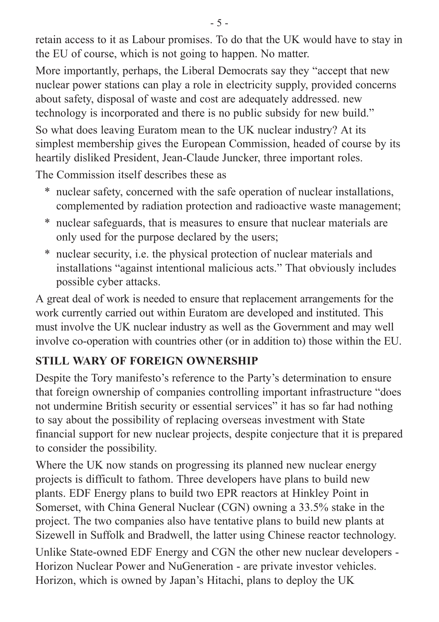retain access to it as Labour promises. To do that the UK would have to stay in the EU of course, which is not going to happen. No matter.

More importantly, perhaps, the Liberal Democrats say they "accept that new nuclear power stations can play a role in electricity supply, provided concerns about safety, disposal of waste and cost are adequately addressed. new technology is incorporated and there is no public subsidy for new build."

So what does leaving Euratom mean to the UK nuclear industry? At its simplest membership gives the European Commission, headed of course by its heartily disliked President, Jean-Claude Juncker, three important roles.

The Commission itself describes these as

- \* nuclear safety, concerned with the safe operation of nuclear installations, complemented by radiation protection and radioactive waste management;
- \* nuclear safeguards, that is measures to ensure that nuclear materials are only used for the purpose declared by the users;
- \* nuclear security, i.e. the physical protection of nuclear materials and installations "against intentional malicious acts." That obviously includes possible cyber attacks.

A great deal of work is needed to ensure that replacement arrangements for the work currently carried out within Euratom are developed and instituted. This must involve the UK nuclear industry as well as the Government and may well involve co-operation with countries other (or in addition to) those within the EU.

# **STILL WARY OF FOREIGN OWNERSHIP**

Despite the Tory manifesto's reference to the Party's determination to ensure that foreign ownership of companies controlling important infrastructure "does not undermine British security or essential services" it has so far had nothing to say about the possibility of replacing overseas investment with State financial support for new nuclear projects, despite conjecture that it is prepared to consider the possibility.

Where the UK now stands on progressing its planned new nuclear energy projects is difficult to fathom. Three developers have plans to build new plants. EDF Energy plans to build two EPR reactors at Hinkley Point in Somerset, with China General Nuclear (CGN) owning a 33.5% stake in the project. The two companies also have tentative plans to build new plants at Sizewell in Suffolk and Bradwell, the latter using Chinese reactor technology.

Unlike State-owned EDF Energy and CGN the other new nuclear developers - Horizon Nuclear Power and NuGeneration - are private investor vehicles. Horizon, which is owned by Japan's Hitachi, plans to deploy the UK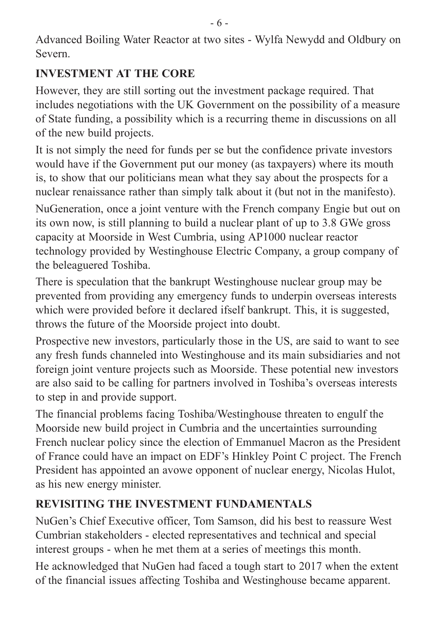Advanced Boiling Water Reactor at two sites - Wylfa Newydd and Oldbury on Severn.

## **INVESTMENT AT THE CORE**

However, they are still sorting out the investment package required. That includes negotiations with the UK Government on the possibility of a measure of State funding, a possibility which is a recurring theme in discussions on all of the new build projects.

It is not simply the need for funds per se but the confidence private investors would have if the Government put our money (as taxpayers) where its mouth is, to show that our politicians mean what they say about the prospects for a nuclear renaissance rather than simply talk about it (but not in the manifesto). NuGeneration, once a joint venture with the French company Engie but out on its own now, is still planning to build a nuclear plant of up to 3.8 GWe gross capacity at Moorside in West Cumbria, using AP1000 nuclear reactor technology provided by Westinghouse Electric Company, a group company of the beleaguered Toshiba.

There is speculation that the bankrupt Westinghouse nuclear group may be prevented from providing any emergency funds to underpin overseas interests which were provided before it declared ifself bankrupt. This, it is suggested, throws the future of the Moorside project into doubt.

Prospective new investors, particularly those in the US, are said to want to see any fresh funds channeled into Westinghouse and its main subsidiaries and not foreign joint venture projects such as Moorside. These potential new investors are also said to be calling for partners involved in Toshiba's overseas interests to step in and provide support.

The financial problems facing Toshiba/Westinghouse threaten to engulf the Moorside new build project in Cumbria and the uncertainties surrounding French nuclear policy since the election of Emmanuel Macron as the President of France could have an impact on EDF's Hinkley Point C project. The French President has appointed an avowe opponent of nuclear energy, Nicolas Hulot, as his new energy minister.

# **REVISITING THE INVESTMENT FUNDAMENTALS**

NuGen's Chief Executive officer, Tom Samson, did his best to reassure West Cumbrian stakeholders - elected representatives and technical and special interest groups - when he met them at a series of meetings this month.

He acknowledged that NuGen had faced a tough start to 2017 when the extent of the financial issues affecting Toshiba and Westinghouse became apparent.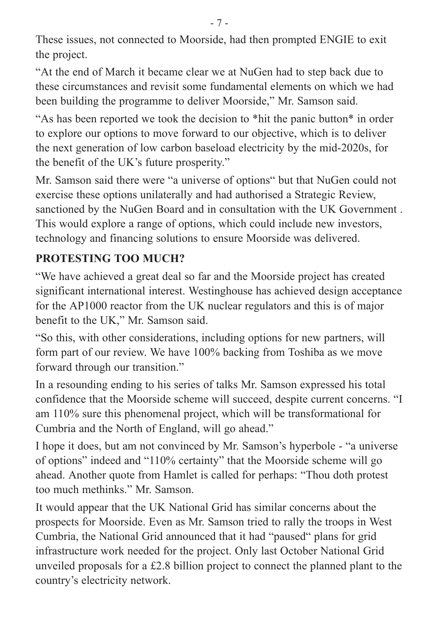These issues, not connected to Moorside, had then prompted ENGIE to exit the project.

"At the end of March it became clear we at NuGen had to step back due to these circumstances and revisit some fundamental elements on which we had been building the programme to deliver Moorside," Mr. Samson said.

"As has been reported we took the decision to \*hit the panic button\* in order to explore our options to move forward to our objective, which is to deliver the next generation of low carbon baseload electricity by the mid-2020s, for the benefit of the UK's future prosperity."

Mr. Samson said there were "a universe of options" but that NuGen could not exercise these options unilaterally and had authorised a Strategic Review, sanctioned by the NuGen Board and in consultation with the UK Government . This would explore a range of options, which could include new investors, technology and financing solutions to ensure Moorside was delivered.

#### **PROTESTING TOO MUCH?**

"We have achieved a great deal so far and the Moorside project has created significant international interest. Westinghouse has achieved design acceptance for the AP1000 reactor from the UK nuclear regulators and this is of major benefit to the UK," Mr. Samson said.

"So this, with other considerations, including options for new partners, will form part of our review. We have 100% backing from Toshiba as we move forward through our transition."

In a resounding ending to his series of talks Mr. Samson expressed his total confidence that the Moorside scheme will succeed, despite current concerns. "I am 110% sure this phenomenal project, which will be transformational for Cumbria and the North of England, will go ahead."

I hope it does, but am not convinced by Mr. Samson's hyperbole - "a universe of options" indeed and "110% certainty" that the Moorside scheme will go ahead. Another quote from Hamlet is called for perhaps: "Thou doth protest too much methinks." Mr. Samson.

It would appear that the UK National Grid has similar concerns about the prospects for Moorside. Even as Mr. Samson tried to rally the troops in West Cumbria, the National Grid announced that it had "paused" plans for grid infrastructure work needed for the project. Only last October National Grid unveiled proposals for a £2.8 billion project to connect the planned plant to the country's electricity network.